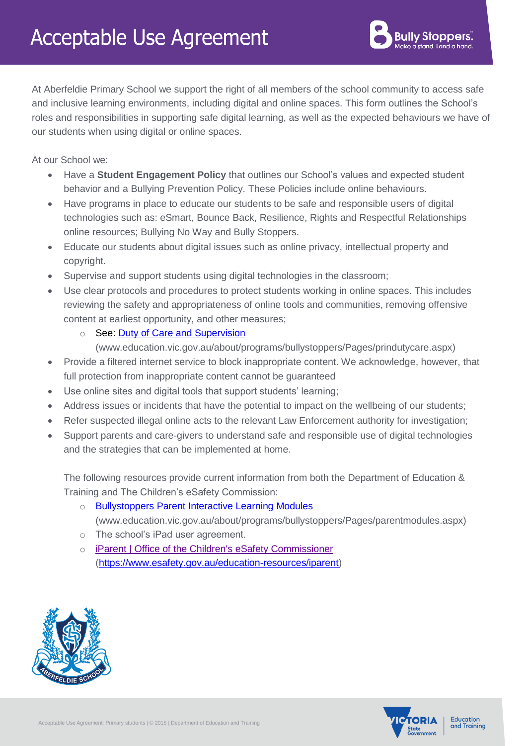At Aberfeldie Primary School we support the right of all members of the school community to access safe and inclusive learning environments, including digital and online spaces. This form outlines the School's roles and responsibilities in supporting safe digital learning, as well as the expected behaviours we have of our students when using digital or online spaces.

At our School we:

- Have a **Student Engagement Policy** that outlines our School's values and expected student behavior and a Bullying Prevention Policy. These Policies include online behaviours.
- Have programs in place to educate our students to be safe and responsible users of digital technologies such as: eSmart, Bounce Back, Resilience, Rights and Respectful Relationships online resources; Bullying No Way and Bully Stoppers.
- Educate our students about digital issues such as online privacy, intellectual property and copyright.
- Supervise and support students using digital technologies in the classroom;
- Use clear protocols and procedures to protect students working in online spaces. This includes reviewing the safety and appropriateness of online tools and communities, removing offensive content at earliest opportunity, and other measures;
	- See: Duty of Care and Supervision
		- [\(www.education.vic.gov.au/about/programs/bullystoppers/Pages/prindutycare.aspx\)](http://www.education.vic.gov.au/about/programs/bullystoppers/Pages/prindutycare.aspx)
- Provide a filtered internet service to block inappropriate content. We acknowledge, however, that full protection from inappropriate content cannot be guaranteed
- Use online sites and digital tools that support students' learning;
- Address issues or incidents that have the potential to impact on the wellbeing of our students;
- Refer suspected illegal online acts to the relevant Law Enforcement authority for investigation;
- Support parents and care-givers to understand safe and responsible use of digital technologies and the strategies that can be implemented at home.

The following resources provide current information from both the [Department of Education &](http://www.education.vic.gov.au/about/programs/bullystoppers/Pages/parentmodules.aspx)  [Training](http://www.education.vic.gov.au/about/programs/bullystoppers/Pages/parentmodules.aspx) and The Children's eSafety Commission:

- o [Bullystoppers Parent Interactive Learning Modules](http://www.education.vic.gov.au/about/programs/bullystoppers/Pages/parentmodules.aspx) [\(www.education.vic.gov.au/about/programs/bullystoppers/Pages/parentmodules.aspx\)](http://www.education.vic.gov.au/about/programs/bullystoppers/Pages/parentmodules.aspx)
- o The school's iPad user agreement.
- o [iParent | Office of the Children's eSafety Commissioner](https://www.esafety.gov.au/education-resources/iparent) [\(https://www.esafety.gov.au/education-resources/iparent\)](https://www.esafety.gov.au/education-resources/iparent)





Education and Training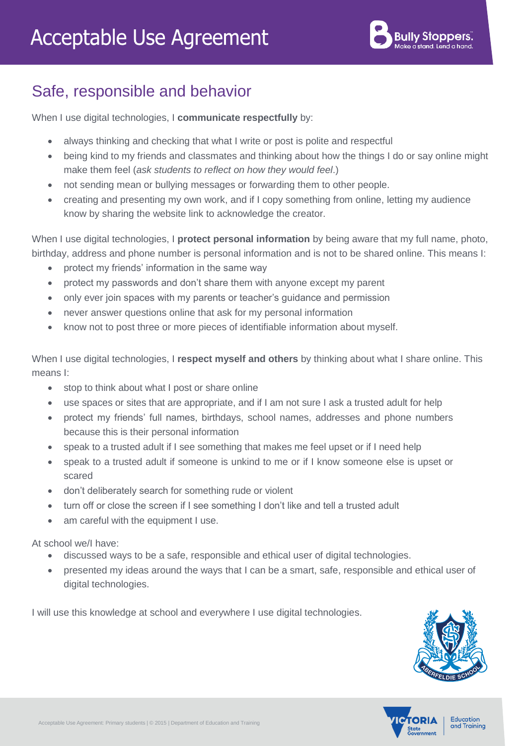## Safe, responsible and behavior

When I use digital technologies, I **communicate respectfully** by:

- always thinking and checking that what I write or post is polite and respectful
- being kind to my friends and classmates and thinking about how the things I do or say online might make them feel (*ask students to reflect on how they would feel*.)
- not sending mean or bullying messages or forwarding them to other people.
- creating and presenting my own work, and if I copy something from online, letting my audience know by sharing the website link to acknowledge the creator.

When I use digital technologies, I **protect personal information** by being aware that my full name, photo, birthday, address and phone number is personal information and is not to be shared online. This means I:

- protect my friends' information in the same way
- protect my passwords and don't share them with anyone except my parent
- only ever join spaces with my parents or teacher's guidance and permission
- never answer questions online that ask for my personal information
- know not to post three or more pieces of identifiable information about myself.

When I use digital technologies, I **respect myself and others** by thinking about what I share online. This means I:

- stop to think about what I post or share online
- use spaces or sites that are appropriate, and if I am not sure I ask a trusted adult for help
- protect my friends' full names, birthdays, school names, addresses and phone numbers because this is their personal information
- speak to a trusted adult if I see something that makes me feel upset or if I need help
- speak to a trusted adult if someone is unkind to me or if I know someone else is upset or scared
- don't deliberately search for something rude or violent
- turn off or close the screen if I see something I don't like and tell a trusted adult
- am careful with the equipment I use.

At school we/I have:

- discussed ways to be a safe, responsible and ethical user of digital technologies.
- presented my ideas around the ways that I can be a smart, safe, responsible and ethical user of digital technologies.

I will use this knowledge at school and everywhere I use digital technologies.